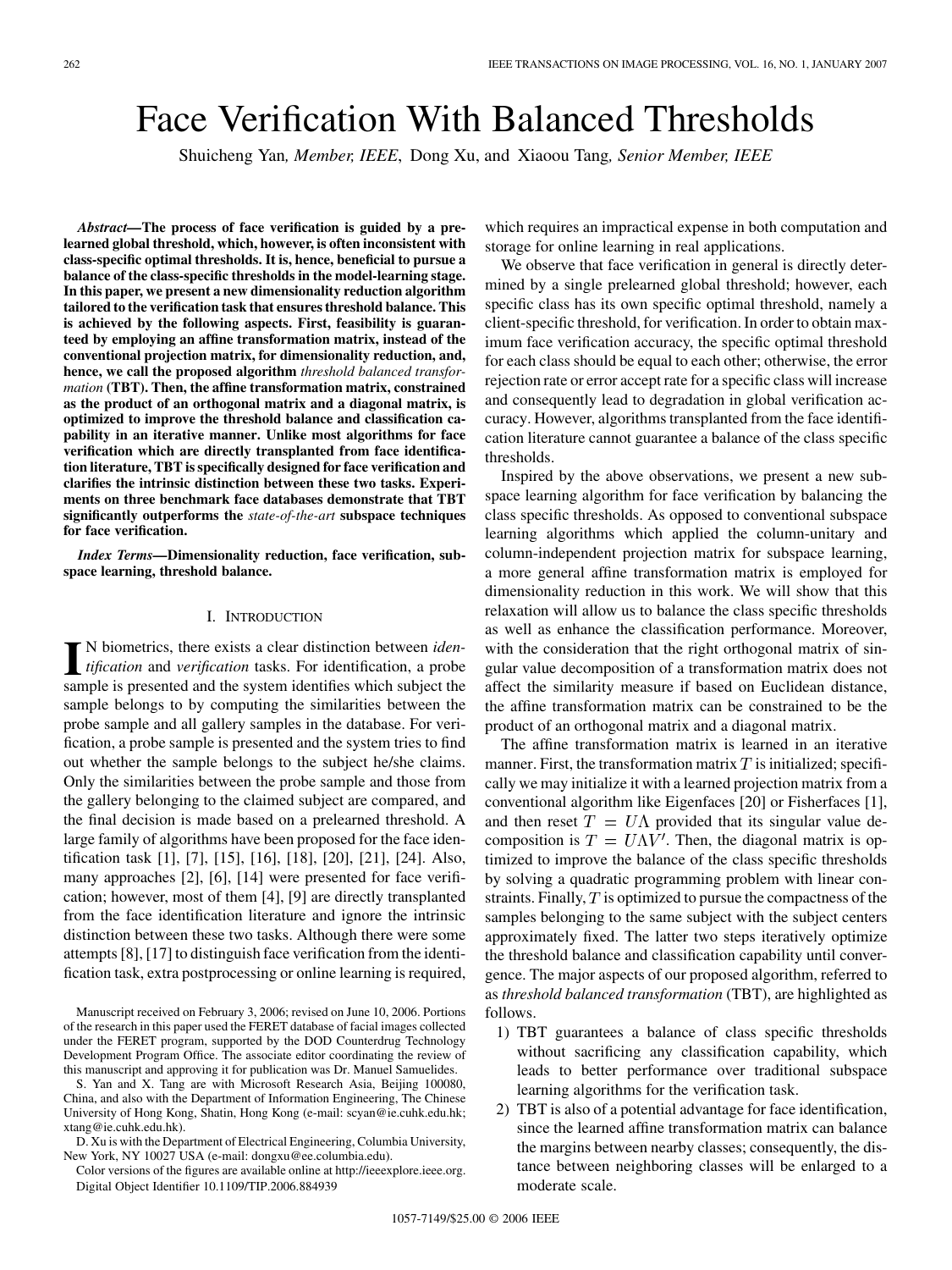# Face Verification With Balanced Thresholds

Shuicheng Yan*, Member, IEEE*, Dong Xu, and Xiaoou Tang*, Senior Member, IEEE*

*Abstract—***The process of face verification is guided by a prelearned global threshold, which, however, is often inconsistent with class-specific optimal thresholds. It is, hence, beneficial to pursue a balance of the class-specific thresholds in the model-learning stage. In this paper, we present a new dimensionality reduction algorithm tailored to the verification task that ensures threshold balance. This is achieved by the following aspects. First, feasibility is guaranteed by employing an affine transformation matrix, instead of the conventional projection matrix, for dimensionality reduction, and, hence, we call the proposed algorithm** *threshold balanced transformation* **(TBT). Then, the affine transformation matrix, constrained as the product of an orthogonal matrix and a diagonal matrix, is optimized to improve the threshold balance and classification capability in an iterative manner. Unlike most algorithms for face verification which are directly transplanted from face identification literature, TBT is specifically designed for face verification and clarifies the intrinsic distinction between these two tasks. Experiments on three benchmark face databases demonstrate that TBT significantly outperforms the** *state-of-the-art* **subspace techniques for face verification.**

*Index Terms—***Dimensionality reduction, face verification, subspace learning, threshold balance.**

### I. INTRODUCTION

**I** N biometrics, there exists a clear distinction between *iden-tification* and *verification* tasks. For identification, a probe sample is presented and the system identifies which subject the sample belongs to by computing the similarities between the probe sample and all gallery samples in the database. For verification, a probe sample is presented and the system tries to find out whether the sample belongs to the subject he/she claims. Only the similarities between the probe sample and those from the gallery belonging to the claimed subject are compared, and the final decision is made based on a prelearned threshold. A large family of algorithms have been proposed for the face identification task [\[1\],](#page-5-0) [\[7\]](#page-6-0), [\[15\]](#page-6-0), [\[16\], \[18\]](#page-6-0), [\[20\]](#page-6-0), [\[21\], \[24\]](#page-6-0). Also, many approaches [\[2\], \[6\], \[14\]](#page-6-0) were presented for face verification; however, most of them [\[4\], \[9\]](#page-6-0) are directly transplanted from the face identification literature and ignore the intrinsic distinction between these two tasks. Although there were some attempts [\[8\], \[17\]](#page-6-0) to distinguish face verification from the identification task, extra postprocessing or online learning is required,

Manuscript received on February 3, 2006; revised on June 10, 2006. Portions of the research in this paper used the FERET database of facial images collected under the FERET program, supported by the DOD Counterdrug Technology Development Program Office. The associate editor coordinating the review of this manuscript and approving it for publication was Dr. Manuel Samuelides.

S. Yan and X. Tang are with Microsoft Research Asia, Beijing 100080, China, and also with the Department of Information Engineering, The Chinese University of Hong Kong, Shatin, Hong Kong (e-mail: scyan@ie.cuhk.edu.hk; xtang@ie.cuhk.edu.hk).

D. Xu is with the Department of Electrical Engineering, Columbia University, New York, NY 10027 USA (e-mail: dongxu@ee.columbia.edu).

Color versions of the figures are available online at http://ieeexplore.ieee.org. Digital Object Identifier 10.1109/TIP.2006.884939

which requires an impractical expense in both computation and storage for online learning in real applications.

We observe that face verification in general is directly determined by a single prelearned global threshold; however, each specific class has its own specific optimal threshold, namely a client-specific threshold, for verification. In order to obtain maximum face verification accuracy, the specific optimal threshold for each class should be equal to each other; otherwise, the error rejection rate or error accept rate for a specific class will increase and consequently lead to degradation in global verification accuracy. However, algorithms transplanted from the face identification literature cannot guarantee a balance of the class specific thresholds.

Inspired by the above observations, we present a new subspace learning algorithm for face verification by balancing the class specific thresholds. As opposed to conventional subspace learning algorithms which applied the column-unitary and column-independent projection matrix for subspace learning, a more general affine transformation matrix is employed for dimensionality reduction in this work. We will show that this relaxation will allow us to balance the class specific thresholds as well as enhance the classification performance. Moreover, with the consideration that the right orthogonal matrix of singular value decomposition of a transformation matrix does not affect the similarity measure if based on Euclidean distance, the affine transformation matrix can be constrained to be the product of an orthogonal matrix and a diagonal matrix.

The affine transformation matrix is learned in an iterative manner. First, the transformation matrix  $T$  is initialized; specifically we may initialize it with a learned projection matrix from a conventional algorithm like Eigenfaces [\[20\]](#page-6-0) or Fisherfaces [\[1\]](#page-5-0), and then reset  $T = U\Lambda$  provided that its singular value decomposition is  $T = U\Lambda V'$ . Then, the diagonal matrix is optimized to improve the balance of the class specific thresholds by solving a quadratic programming problem with linear constraints. Finally,  $T$  is optimized to pursue the compactness of the samples belonging to the same subject with the subject centers approximately fixed. The latter two steps iteratively optimize the threshold balance and classification capability until convergence. The major aspects of our proposed algorithm, referred to as *threshold balanced transformation* (TBT), are highlighted as follows.

- 1) TBT guarantees a balance of class specific thresholds without sacrificing any classification capability, which leads to better performance over traditional subspace learning algorithms for the verification task.
- 2) TBT is also of a potential advantage for face identification, since the learned affine transformation matrix can balance the margins between nearby classes; consequently, the distance between neighboring classes will be enlarged to a moderate scale.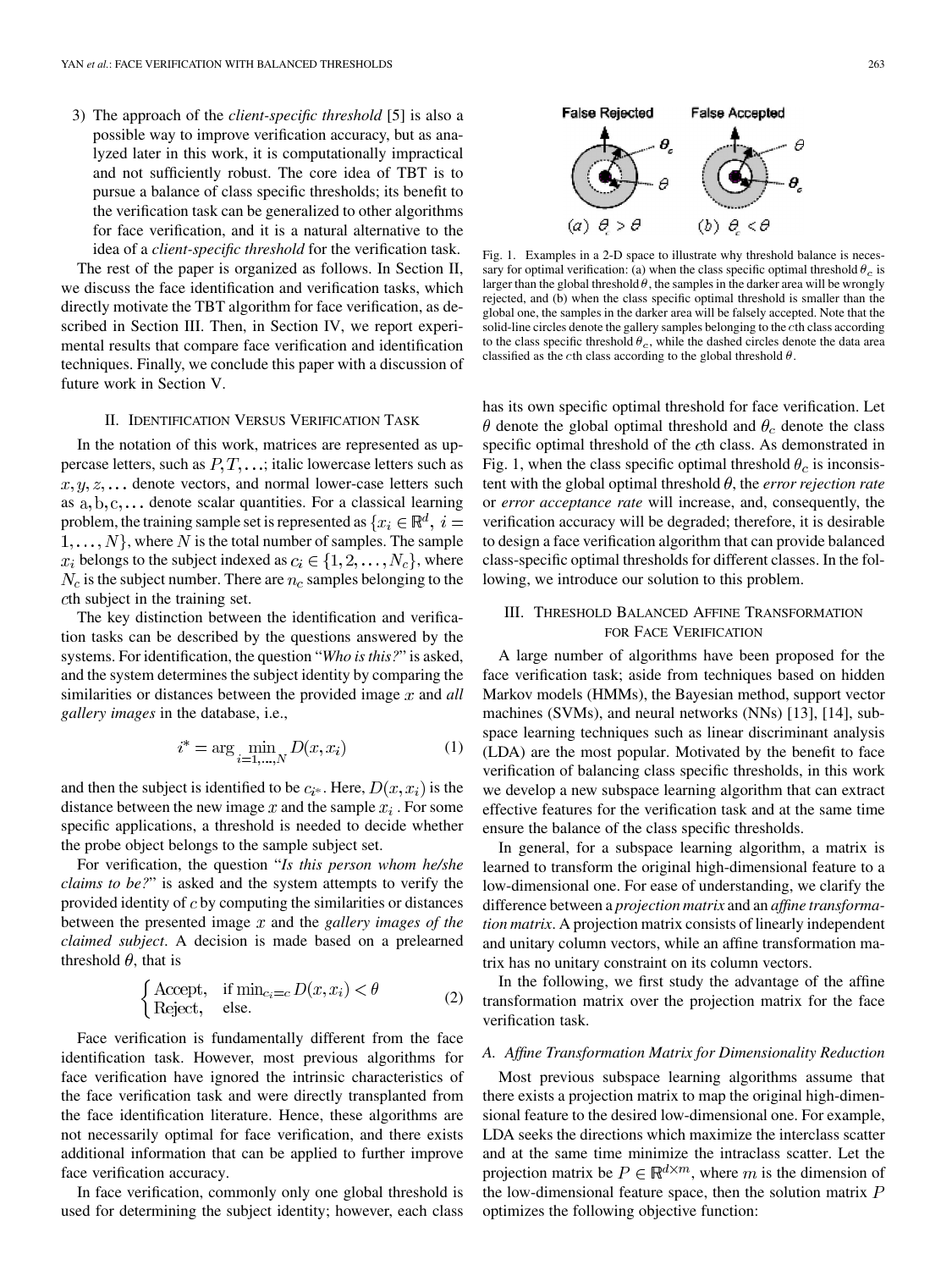<span id="page-1-0"></span>3) The approach of the *client-specific threshold* [\[5\]](#page-6-0) is also a possible way to improve verification accuracy, but as analyzed later in this work, it is computationally impractical and not sufficiently robust. The core idea of TBT is to pursue a balance of class specific thresholds; its benefit to the verification task can be generalized to other algorithms for face verification, and it is a natural alternative to the idea of a *client-specific threshold* for the verification task.

The rest of the paper is organized as follows. In Section II, we discuss the face identification and verification tasks, which directly motivate the TBT algorithm for face verification, as described in Section III. Then, in [Section IV,](#page-4-0) we report experimental results that compare face verification and identification techniques. Finally, we conclude this paper with a discussion of future work in [Section V.](#page-5-0)

#### II. IDENTIFICATION VERSUS VERIFICATION TASK

In the notation of this work, matrices are represented as uppercase letters, such as  $P, T, \ldots$ ; italic lowercase letters such as  $x, y, z, \ldots$  denote vectors, and normal lower-case letters such as  $a, b, c, \ldots$  denote scalar quantities. For a classical learning problem, the training sample set is represented as  $\{x_i \in \mathbb{R}^d, i =$  $1, \ldots, N$ , where N is the total number of samples. The sample  $x_i$  belongs to the subject indexed as  $c_i \in \{1, 2, \dots, N_c\}$ , where  $N_c$  is the subject number. There are  $n_c$  samples belonging to the cth subject in the training set.

The key distinction between the identification and verification tasks can be described by the questions answered by the systems. For identification, the question "*Who is this?*" is asked, and the system determines the subject identity by comparing the similarities or distances between the provided image  $x$  and  $all$ *gallery images* in the database, i.e.,

$$
i^* = \arg\min_{i=1,\dots,N} D(x, x_i)
$$
 (1)

and then the subject is identified to be  $c_{i^*}$ . Here,  $D(x, x_i)$  is the distance between the new image x and the sample  $x_i$ . For some specific applications, a threshold is needed to decide whether the probe object belongs to the sample subject set.

For verification, the question "*Is this person whom he/she claims to be?*" is asked and the system attempts to verify the provided identity of  $c$  by computing the similarities or distances between the presented image x and the *gallery images of the claimed subject*. A decision is made based on a prelearned threshold  $\theta$ , that is

$$
\begin{cases} \text{Accept,} & \text{if } \min_{c_i=c} D(x, x_i) < \theta \\ \text{Reject,} & \text{else.} \end{cases} \tag{2}
$$

Face verification is fundamentally different from the face identification task. However, most previous algorithms for face verification have ignored the intrinsic characteristics of the face verification task and were directly transplanted from the face identification literature. Hence, these algorithms are not necessarily optimal for face verification, and there exists additional information that can be applied to further improve face verification accuracy.

In face verification, commonly only one global threshold is used for determining the subject identity; however, each class



Fig. 1. Examples in a 2-D space to illustrate why threshold balance is necessary for optimal verification: (a) when the class specific optimal threshold  $\theta_c$  is larger than the global threshold  $\theta$ , the samples in the darker area will be wrongly rejected, and (b) when the class specific optimal threshold is smaller than the global one, the samples in the darker area will be falsely accepted. Note that the solid-line circles denote the gallery samples belonging to the cth class according to the class specific threshold  $\theta_c$ , while the dashed circles denote the data area classified as the cth class according to the global threshold  $\theta$ .

has its own specific optimal threshold for face verification. Let  $\theta$  denote the global optimal threshold and  $\theta_c$  denote the class specific optimal threshold of the cth class. As demonstrated in Fig. 1, when the class specific optimal threshold  $\theta_c$  is inconsistent with the global optimal threshold  $\theta$ , the *error rejection rate* or *error acceptance rate* will increase, and, consequently, the verification accuracy will be degraded; therefore, it is desirable to design a face verification algorithm that can provide balanced class-specific optimal thresholds for different classes. In the following, we introduce our solution to this problem.

# III. THRESHOLD BALANCED AFFINE TRANSFORMATION FOR FACE VERIFICATION

A large number of algorithms have been proposed for the face verification task; aside from techniques based on hidden Markov models (HMMs), the Bayesian method, support vector machines (SVMs), and neural networks (NNs) [\[13\], \[14\],](#page-6-0) subspace learning techniques such as linear discriminant analysis (LDA) are the most popular. Motivated by the benefit to face verification of balancing class specific thresholds, in this work we develop a new subspace learning algorithm that can extract effective features for the verification task and at the same time ensure the balance of the class specific thresholds.

In general, for a subspace learning algorithm, a matrix is learned to transform the original high-dimensional feature to a low-dimensional one. For ease of understanding, we clarify the difference between a *projection matrix* and an *affine transformation matrix*. A projection matrix consists of linearly independent and unitary column vectors, while an affine transformation matrix has no unitary constraint on its column vectors.

In the following, we first study the advantage of the affine transformation matrix over the projection matrix for the face verification task.

#### *A. Affine Transformation Matrix for Dimensionality Reduction*

Most previous subspace learning algorithms assume that there exists a projection matrix to map the original high-dimensional feature to the desired low-dimensional one. For example, LDA seeks the directions which maximize the interclass scatter and at the same time minimize the intraclass scatter. Let the projection matrix be  $P \in \mathbb{R}^{d \times m}$ , where m is the dimension of the low-dimensional feature space, then the solution matrix  $P$ optimizes the following objective function: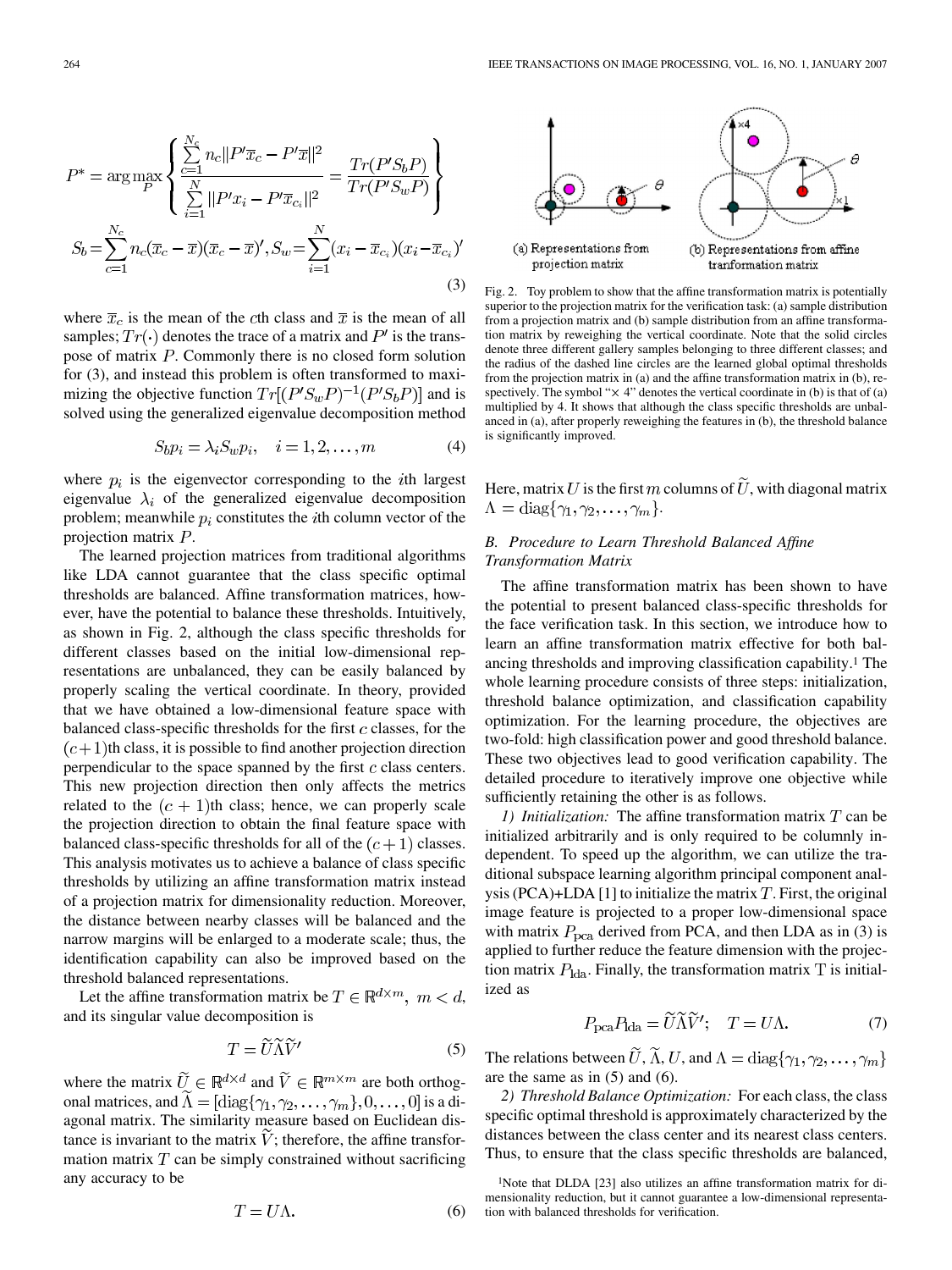<span id="page-2-0"></span>
$$
P^* = \arg \max_{P} \left\{ \frac{\sum_{c=1}^{N_c} n_c ||P'\overline{x}_c - P'\overline{x}||^2}{\sum_{i=1}^{N} ||P'x_i - P'\overline{x}_c||^2} = \frac{Tr(P'S_b P)}{Tr(P'S_w P)} \right\}
$$
  

$$
S_b = \sum_{c=1}^{N_c} n_c (\overline{x}_c - \overline{x})(\overline{x}_c - \overline{x})', S_w = \sum_{i=1}^{N} (x_i - \overline{x}_{c_i})(x_i - \overline{x}_{c_i})'
$$
(3)

where  $\overline{x}_c$  is the mean of the cth class and  $\overline{x}$  is the mean of all samples;  $Tr(\cdot)$  denotes the trace of a matrix and  $P'$  is the transpose of matrix  $P$ . Commonly there is no closed form solution for (3), and instead this problem is often transformed to maximizing the objective function  $Tr[(P'S_wP)^{-1}(P'S_bP)]$  and is solved using the generalized eigenvalue decomposition method

$$
S_b p_i = \lambda_i S_w p_i, \quad i = 1, 2, \dots, m \tag{4}
$$

where  $p_i$  is the eigenvector corresponding to the *i*th largest eigenvalue  $\lambda_i$  of the generalized eigenvalue decomposition problem; meanwhile  $p_i$  constitutes the *i*th column vector of the projection matrix  $P$ .

The learned projection matrices from traditional algorithms like LDA cannot guarantee that the class specific optimal thresholds are balanced. Affine transformation matrices, however, have the potential to balance these thresholds. Intuitively, as shown in Fig. 2, although the class specific thresholds for different classes based on the initial low-dimensional representations are unbalanced, they can be easily balanced by properly scaling the vertical coordinate. In theory, provided that we have obtained a low-dimensional feature space with balanced class-specific thresholds for the first  $c$  classes, for the  $(c+1)$ th class, it is possible to find another projection direction perpendicular to the space spanned by the first  $c$  class centers. This new projection direction then only affects the metrics related to the  $(c + 1)$ th class; hence, we can properly scale the projection direction to obtain the final feature space with balanced class-specific thresholds for all of the  $(c+1)$  classes. This analysis motivates us to achieve a balance of class specific thresholds by utilizing an affine transformation matrix instead of a projection matrix for dimensionality reduction. Moreover, the distance between nearby classes will be balanced and the narrow margins will be enlarged to a moderate scale; thus, the identification capability can also be improved based on the threshold balanced representations.

Let the affine transformation matrix be  $T \in \mathbb{R}^{d \times m}$ ,  $m < d$ , and its singular value decomposition is

$$
T = \widetilde{U}\widetilde{\Lambda}\widetilde{V}' \tag{5}
$$

where the matrix  $\widetilde{U} \in \mathbb{R}^{d \times d}$  and  $\widetilde{V} \in \mathbb{R}^{m \times m}$  are both orthogonal matrices, and  $\tilde{\Lambda} = [\text{diag}\{\gamma_1, \gamma_2, \dots, \gamma_m\}, 0, \dots, 0]$  is a diagonal matrix. The similarity measure based on Euclidean distance is invariant to the matrix  $V$ ; therefore, the affine transformation matrix  $T$  can be simply constrained without sacrificing any accuracy to be

$$
T = U\Lambda.
$$
 (6)



Fig. 2. Toy problem to show that the affine transformation matrix is potentially superior to the projection matrix for the verification task: (a) sample distribution from a projection matrix and (b) sample distribution from an affine transformation matrix by reweighing the vertical coordinate. Note that the solid circles denote three different gallery samples belonging to three different classes; and the radius of the dashed line circles are the learned global optimal thresholds from the projection matrix in (a) and the affine transformation matrix in (b), respectively. The symbol " $\times$  4" denotes the vertical coordinate in (b) is that of (a) multiplied by 4. It shows that although the class specific thresholds are unbalanced in (a), after properly reweighing the features in (b), the threshold balance is significantly improved.

Here, matrix U is the first m columns of  $\tilde{U}$ , with diagonal matrix  $\Lambda = \text{diag}\{\gamma_1, \gamma_2, \ldots, \gamma_m\}.$ 

# *B. Procedure to Learn Threshold Balanced Affine Transformation Matrix*

The affine transformation matrix has been shown to have the potential to present balanced class-specific thresholds for the face verification task. In this section, we introduce how to learn an affine transformation matrix effective for both balancing thresholds and improving classification capability.1 The whole learning procedure consists of three steps: initialization, threshold balance optimization, and classification capability optimization. For the learning procedure, the objectives are two-fold: high classification power and good threshold balance. These two objectives lead to good verification capability. The detailed procedure to iteratively improve one objective while sufficiently retaining the other is as follows.

*1) Initialization:* The affine transformation matrix  $T$  can be initialized arbitrarily and is only required to be columnly independent. To speed up the algorithm, we can utilize the traditional subspace learning algorithm principal component anal-ysis (PCA)+LDA [\[1\]](#page-5-0) to initialize the matrix T. First, the original image feature is projected to a proper low-dimensional space with matrix  $P_{\text{pca}}$  derived from PCA, and then LDA as in (3) is applied to further reduce the feature dimension with the projection matrix  $P_{\text{lda}}$ . Finally, the transformation matrix T is initialized as

$$
P_{\text{pca}} P_{\text{lda}} = \widetilde{U} \widetilde{\Lambda} \widetilde{V}'; \quad T = U \Lambda. \tag{7}
$$

The relations between  $\widetilde{U}$ ,  $\widetilde{\Lambda}$ ,  $U$ , and  $\Lambda = \text{diag}\{\gamma_1, \gamma_2, \dots, \gamma_m\}$ are the same as in (5) and (6).

*2) Threshold Balance Optimization:* For each class, the class specific optimal threshold is approximately characterized by the distances between the class center and its nearest class centers. Thus, to ensure that the class specific thresholds are balanced,

<sup>&</sup>lt;sup>1</sup>Note that DLDA [\[23\]](#page-6-0) also utilizes an affine transformation matrix for dimensionality reduction, but it cannot guarantee a low-dimensional representation with balanced thresholds for verification.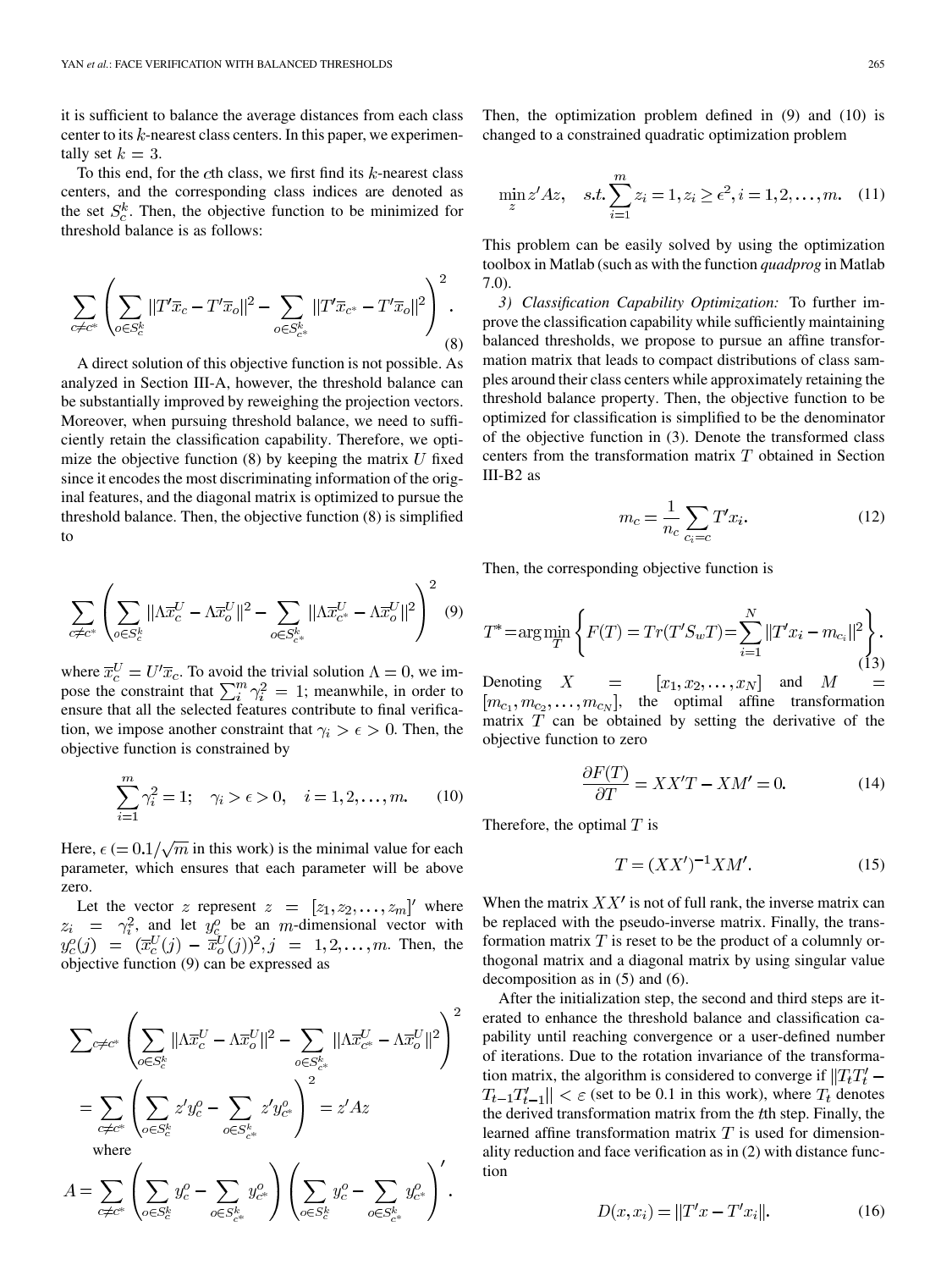it is sufficient to balance the average distances from each class center to its  $k$ -nearest class centers. In this paper, we experimentally set  $k = 3$ .

To this end, for the cth class, we first find its  $k$ -nearest class centers, and the corresponding class indices are denoted as the set  $S_c^k$ . Then, the objective function to be minimized for threshold balance is as follows:

$$
\sum_{c \neq c^*} \left( \sum_{o \in S_c^k} ||T'\overline{x}_c - T'\overline{x}_o||^2 - \sum_{o \in S_{c^*}^k} ||T'\overline{x}_{c^*} - T'\overline{x}_o||^2 \right)^2.
$$
\n(8)

A direct solution of this objective function is not possible. As analyzed in [Section III-A](#page-1-0), however, the threshold balance can be substantially improved by reweighing the projection vectors. Moreover, when pursuing threshold balance, we need to sufficiently retain the classification capability. Therefore, we optimize the objective function  $(8)$  by keeping the matrix  $U$  fixed since it encodes the most discriminating information of the original features, and the diagonal matrix is optimized to pursue the threshold balance. Then, the objective function (8) is simplified to

$$
\sum_{c \neq c^*} \left( \sum_{o \in S_c^k} \|\Lambda \overline{x}_c^U - \Lambda \overline{x}_o^U\|^2 - \sum_{o \in S_{c^*}^k} \|\Lambda \overline{x}_{c^*}^U - \Lambda \overline{x}_o^U\|^2 \right)^2 \tag{9}
$$

where  $\overline{x}_{c}^{U} = U'\overline{x}_{c}$ . To avoid the trivial solution  $\Lambda = 0$ , we impose the constraint that  $\sum_{i=1}^{m} \gamma_i^2 = 1$ ; meanwhile, in order to ensure that all the selected features contribute to final verification, we impose another constraint that  $\gamma_i > \epsilon > 0$ . Then, the objective function is constrained by

$$
\sum_{i=1}^{m} \gamma_i^2 = 1; \quad \gamma_i > \epsilon > 0, \quad i = 1, 2, \dots, m. \tag{10}
$$

Here,  $\epsilon = 0.1/\sqrt{m}$  in this work) is the minimal value for each parameter, which ensures that each parameter will be above zero.

Let the vector z represent  $z = [z_1, z_2, \dots, z_m]'$  where  $z_i = \gamma_i^2$ , and let  $y_c^0$  be an m-dimensional vector with  $y_c^o(j) = (\overline{x}_c^U(j) - \overline{x}_o^U(j))^2, j = 1, 2, ..., m$ . Then, the objective function (9) can be expressed as

$$
\sum_{c \neq c^*} \left( \sum_{o \in S_c^k} ||\Lambda \overline{x}_c^U - \Lambda \overline{x}_o^U||^2 - \sum_{o \in S_{c^*}^k} ||\Lambda \overline{x}_{c^*}^U - \Lambda \overline{x}_o^U||^2 \right)^2
$$
  
= 
$$
\sum_{c \neq c^*} \left( \sum_{o \in S_c^k} z' y_c^o - \sum_{o \in S_{c^*}^k} z' y_{c^*}^o \right)^2 = z' Az
$$
  
where  

$$
\sum_{o \in S_c^k} \left( \sum_{o \in S_c^k} a_o \sum_{o \in S_{c^*}^k} a_o \right) \left( \sum_{o \in S_c^k} a_o \sum_{o \in S_c^k} a_o \right)^2
$$

 $A = \sum_{c \neq c^*} \left( \sum_{o \in S_c^k} y_c^o - \sum_{o \in S_{c^*}^k} y_{c^*}^o \right) \left( \sum_{o \in S_c^k} y_c^o - \sum_{o \in S_{c^*}^k} y_{c^*}^o \right)$ 

Then, the optimization problem defined in (9) and (10) is changed to a constrained quadratic optimization problem

$$
\min_{z} z' Az, \quad s.t. \sum_{i=1}^{m} z_i = 1, z_i \ge \epsilon^2, i = 1, 2, \dots, m. \quad (11)
$$

This problem can be easily solved by using the optimization toolbox in Matlab (such as with the function *quadprog* in Matlab 7.0).

*3) Classification Capability Optimization:* To further improve the classification capability while sufficiently maintaining balanced thresholds, we propose to pursue an affine transformation matrix that leads to compact distributions of class samples around their class centers while approximately retaining the threshold balance property. Then, the objective function to be optimized for classification is simplified to be the denominator of the objective function in [\(3\)](#page-2-0). Denote the transformed class centers from the transformation matrix  $T$  obtained in Section III-B2 as

$$
m_c = \frac{1}{n_c} \sum_{c_i = c} T' x_i.
$$
\n<sup>(12)</sup>

Then, the corresponding objective function is

$$
T^* = \arg\min_{T} \left\{ F(T) = Tr(T'S_w T) = \sum_{i=1}^{N} ||T'x_i - m_{c_i}||^2 \right\}.
$$
\n(13)

Denoting  $X = [x_1, x_2, \dots, x_N]$  and M  $\equiv$  $[m_{c_1}, m_{c_2}, \ldots, m_{c_N}]$ , the optimal affine transformation matrix  $T$  can be obtained by setting the derivative of the objective function to zero

$$
\frac{\partial F(T)}{\partial T} = XX'T - XM' = 0.
$$
 (14)

Therefore, the optimal  $T$  is

$$
T = (XX')^{-1}XM'.
$$
 (15)

When the matrix  $XX'$  is not of full rank, the inverse matrix can be replaced with the pseudo-inverse matrix. Finally, the transformation matrix  $T$  is reset to be the product of a columnly orthogonal matrix and a diagonal matrix by using singular value decomposition as in [\(5\)](#page-2-0) and [\(6\)](#page-2-0).

After the initialization step, the second and third steps are iterated to enhance the threshold balance and classification capability until reaching convergence or a user-defined number of iterations. Due to the rotation invariance of the transformation matrix, the algorithm is considered to converge if  $||T_tT_t' \|T_{t-1}T'_{t-1}\| < \varepsilon$  (set to be 0.1 in this work), where  $T_t$  denotes the derived transformation matrix from the th step. Finally, the learned affine transformation matrix  $T$  is used for dimensionality reduction and face verification as in [\(2\)](#page-1-0) with distance function

$$
D(x, x_i) = ||T'x - T'x_i||.
$$
 (16)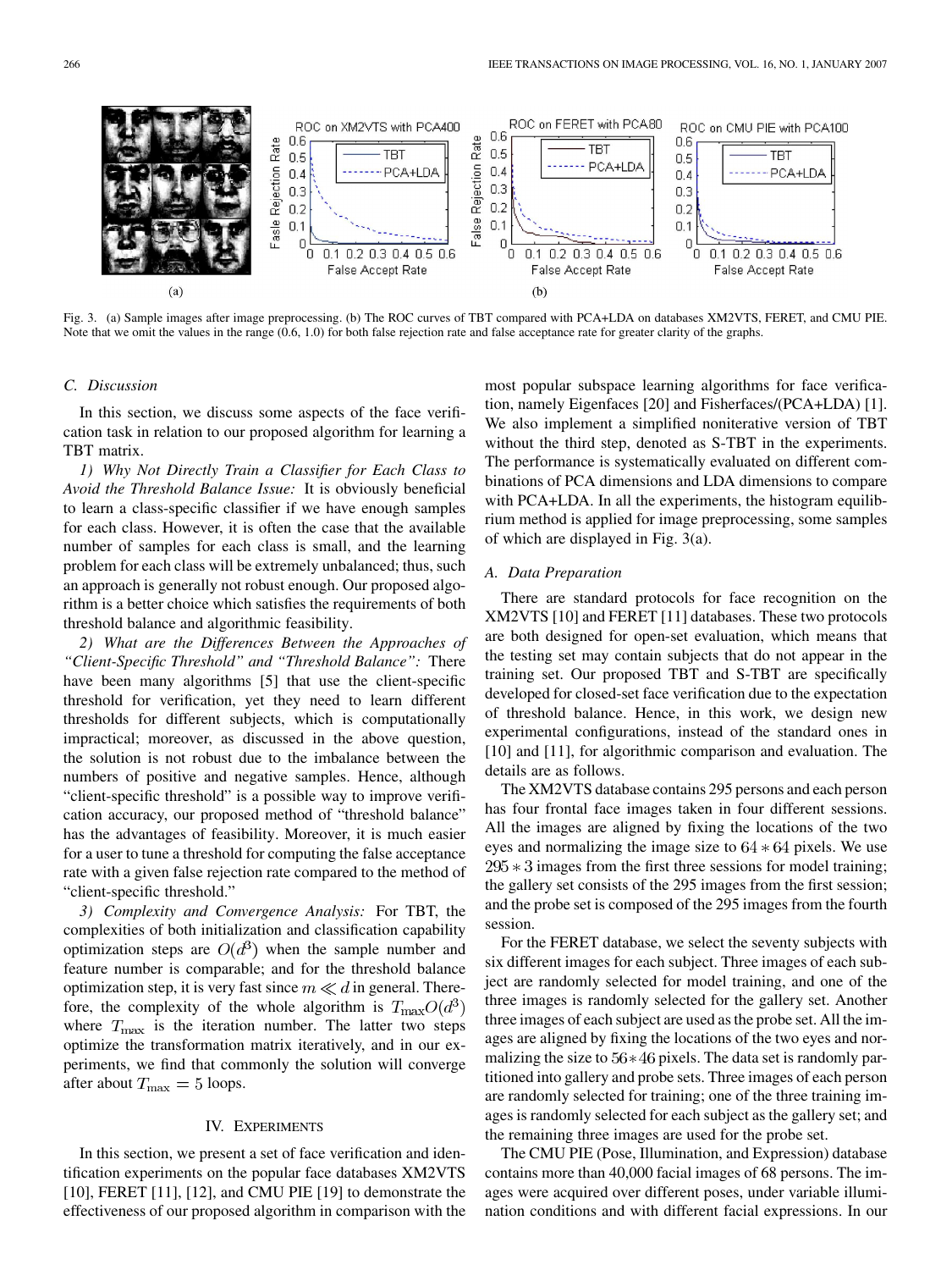<span id="page-4-0"></span>

Fig. 3. (a) Sample images after image preprocessing. (b) The ROC curves of TBT compared with PCA+LDA on databases XM2VTS, FERET, and CMU PIE. Note that we omit the values in the range (0.6, 1.0) for both false rejection rate and false acceptance rate for greater clarity of the graphs.

## *C. Discussion*

In this section, we discuss some aspects of the face verification task in relation to our proposed algorithm for learning a TBT matrix.

*1) Why Not Directly Train a Classifier for Each Class to Avoid the Threshold Balance Issue:* It is obviously beneficial to learn a class-specific classifier if we have enough samples for each class. However, it is often the case that the available number of samples for each class is small, and the learning problem for each class will be extremely unbalanced; thus, such an approach is generally not robust enough. Our proposed algorithm is a better choice which satisfies the requirements of both threshold balance and algorithmic feasibility.

*2) What are the Differences Between the Approaches of "Client-Specific Threshold" and "Threshold Balance":* There have been many algorithms [\[5\]](#page-6-0) that use the client-specific threshold for verification, yet they need to learn different thresholds for different subjects, which is computationally impractical; moreover, as discussed in the above question, the solution is not robust due to the imbalance between the numbers of positive and negative samples. Hence, although "client-specific threshold" is a possible way to improve verification accuracy, our proposed method of "threshold balance" has the advantages of feasibility. Moreover, it is much easier for a user to tune a threshold for computing the false acceptance rate with a given false rejection rate compared to the method of "client-specific threshold."

*3) Complexity and Convergence Analysis:* For TBT, the complexities of both initialization and classification capability optimization steps are  $O(d^3)$  when the sample number and feature number is comparable; and for the threshold balance optimization step, it is very fast since  $m \ll d$  in general. Therefore, the complexity of the whole algorithm is  $T_{\text{max}}O(d^3)$ where  $T_{\text{max}}$  is the iteration number. The latter two steps optimize the transformation matrix iteratively, and in our experiments, we find that commonly the solution will converge after about  $T_{\text{max}} = 5$  loops.

### IV. EXPERIMENTS

In this section, we present a set of face verification and identification experiments on the popular face databases XM2VTS [\[10\]](#page-6-0), FERET [\[11\], \[12\],](#page-6-0) and CMU PIE [\[19\]](#page-6-0) to demonstrate the effectiveness of our proposed algorithm in comparison with the most popular subspace learning algorithms for face verification, namely Eigenfaces [\[20\]](#page-6-0) and Fisherfaces/(PCA+LDA) [\[1\]](#page-5-0). We also implement a simplified noniterative version of TBT without the third step, denoted as S-TBT in the experiments. The performance is systematically evaluated on different combinations of PCA dimensions and LDA dimensions to compare with PCA+LDA. In all the experiments, the histogram equilibrium method is applied for image preprocessing, some samples of which are displayed in Fig. 3(a).

# *A. Data Preparation*

There are standard protocols for face recognition on the XM2VTS [\[10\]](#page-6-0) and FERET [\[11\]](#page-6-0) databases. These two protocols are both designed for open-set evaluation, which means that the testing set may contain subjects that do not appear in the training set. Our proposed TBT and S-TBT are specifically developed for closed-set face verification due to the expectation of threshold balance. Hence, in this work, we design new experimental configurations, instead of the standard ones in [\[10\]](#page-6-0) and [\[11\]](#page-6-0), for algorithmic comparison and evaluation. The details are as follows.

The XM2VTS database contains 295 persons and each person has four frontal face images taken in four different sessions. All the images are aligned by fixing the locations of the two eyes and normalizing the image size to  $64 * 64$  pixels. We use  $295 \times 3$  images from the first three sessions for model training; the gallery set consists of the 295 images from the first session; and the probe set is composed of the 295 images from the fourth session.

For the FERET database, we select the seventy subjects with six different images for each subject. Three images of each subject are randomly selected for model training, and one of the three images is randomly selected for the gallery set. Another three images of each subject are used as the probe set. All the images are aligned by fixing the locations of the two eyes and normalizing the size to  $56*46$  pixels. The data set is randomly partitioned into gallery and probe sets. Three images of each person are randomly selected for training; one of the three training images is randomly selected for each subject as the gallery set; and the remaining three images are used for the probe set.

The CMU PIE (Pose, Illumination, and Expression) database contains more than 40,000 facial images of 68 persons. The images were acquired over different poses, under variable illumination conditions and with different facial expressions. In our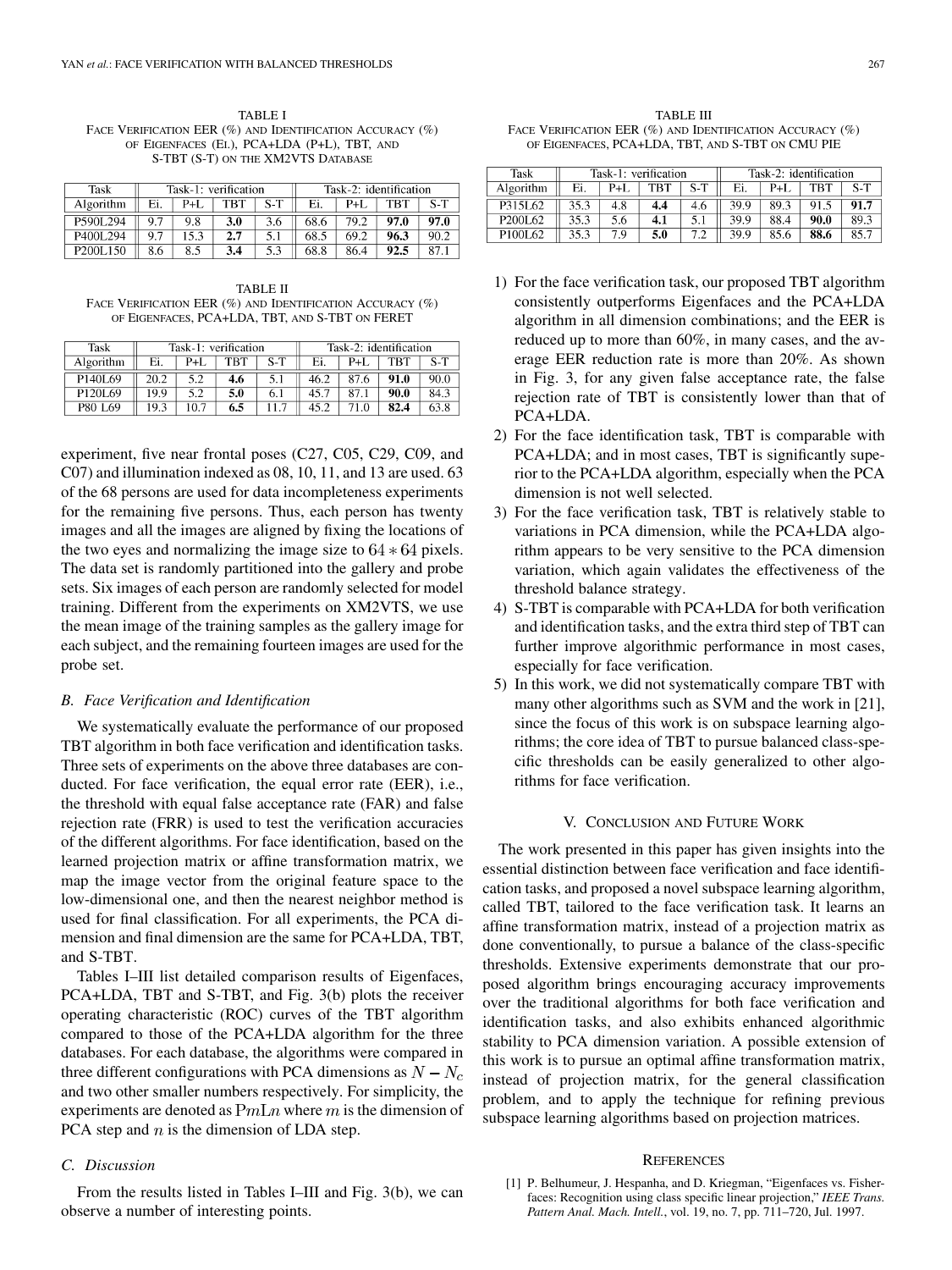<span id="page-5-0"></span>TABLE I FACE VERIFICATION EER (%) AND IDENTIFICATION ACCURACY (%) OF EIGENFACES (EI.), PCA+LDA (P+L), TBT, AND S-TBT (S-T) ON THE XM2VTS DATABASE

| Task                              | Task-1: verification |      |     |     | Task-2: identification |      |      |      |
|-----------------------------------|----------------------|------|-----|-----|------------------------|------|------|------|
| Algorithm                         | Ei.                  | P+L  | твт |     | Ei.                    | P+I  | TBT  |      |
| P590L294                          |                      | 9.8  | 3.0 |     | 68.6                   | 79.2 | 97.0 | 97.0 |
| P <sub>400</sub> L <sub>294</sub> |                      | 15.3 | 2.7 |     | 68.5                   | 69.2 | 96.3 | 90.2 |
| P200L                             | 8.6                  | 8.5  | 3.4 | 5.3 | 68.8                   | 86.4 | 92.5 | 87.  |

TABLE II FACE VERIFICATION EER (%) AND IDENTIFICATION ACCURACY (%) OF EIGENFACES, PCA+LDA, TBT, AND S-TBT ON FERET

| Task      | Task-1: verification |       |     |     | Task-2: identification |       |      |      |
|-----------|----------------------|-------|-----|-----|------------------------|-------|------|------|
| Algorithm | Ei.                  | $P+L$ | TBT | S-T | Ei.                    | $P+L$ | TBT  | S-T  |
| P140L69   | 20.2                 | 5.2   | 4.6 | 5.1 | 46.2                   | 87.6  | 91.0 | 90.0 |
| P120L69   | 19.9                 | 5.2   | 5.0 | 6.  | 45.7                   | 87.   | 90.0 | 84.3 |
| P80 L69   | 9.3                  | 10.7  | 6.5 |     | 45.2                   | 71.0  | 82.4 | 63.8 |

experiment, five near frontal poses (C27, C05, C29, C09, and C07) and illumination indexed as 08, 10, 11, and 13 are used. 63 of the 68 persons are used for data incompleteness experiments for the remaining five persons. Thus, each person has twenty images and all the images are aligned by fixing the locations of the two eyes and normalizing the image size to  $64 * 64$  pixels. The data set is randomly partitioned into the gallery and probe sets. Six images of each person are randomly selected for model training. Different from the experiments on XM2VTS, we use the mean image of the training samples as the gallery image for each subject, and the remaining fourteen images are used for the probe set.

#### *B. Face Verification and Identification*

We systematically evaluate the performance of our proposed TBT algorithm in both face verification and identification tasks. Three sets of experiments on the above three databases are conducted. For face verification, the equal error rate (EER), i.e., the threshold with equal false acceptance rate (FAR) and false rejection rate (FRR) is used to test the verification accuracies of the different algorithms. For face identification, based on the learned projection matrix or affine transformation matrix, we map the image vector from the original feature space to the low-dimensional one, and then the nearest neighbor method is used for final classification. For all experiments, the PCA dimension and final dimension are the same for PCA+LDA, TBT, and S-TBT.

Tables I–III list detailed comparison results of Eigenfaces, PCA+LDA, TBT and S-TBT, and [Fig. 3\(b\)](#page-4-0) plots the receiver operating characteristic (ROC) curves of the TBT algorithm compared to those of the PCA+LDA algorithm for the three databases. For each database, the algorithms were compared in three different configurations with PCA dimensions as  $N - N_c$ and two other smaller numbers respectively. For simplicity, the experiments are denoted as  $PmLn$  where m is the dimension of PCA step and  $n$  is the dimension of LDA step.

# *C. Discussion*

From the results listed in Tables I–III and [Fig. 3\(b\)](#page-4-0), we can observe a number of interesting points.

TABLE III FACE VERIFICATION EER (%) AND IDENTIFICATION ACCURACY (%) OF EIGENFACES, PCA+LDA, TBT, AND S-TBT ON CMU PIE

| Task      | Task-1: verification |       |     |     | Task-2: identification |          |      |       |
|-----------|----------------------|-------|-----|-----|------------------------|----------|------|-------|
| Algorithm | Ei.                  | $P+L$ | TBT | S-T | Ei.                    | $P_{+L}$ | TBT  | $S-T$ |
| P315L62   | 35.3                 | 4.8   | 4.4 | 4.0 | 39.9                   | 89.3     | 91.5 | 91.7  |
| P200L62   | 35.3                 | 5.6   | 4.1 | 5.1 | 39.9                   | 88.4     | 90.0 | 89.3  |
|           | 35.3                 | 7.9   | 5.0 | 79  | 39.9                   |          | 88.6 | 85.7  |

- 1) For the face verification task, our proposed TBT algorithm consistently outperforms Eigenfaces and the PCA+LDA algorithm in all dimension combinations; and the EER is reduced up to more than 60%, in many cases, and the average EER reduction rate is more than 20%. As shown in [Fig. 3,](#page-4-0) for any given false acceptance rate, the false rejection rate of TBT is consistently lower than that of PCA+LDA.
- 2) For the face identification task, TBT is comparable with PCA+LDA; and in most cases, TBT is significantly superior to the PCA+LDA algorithm, especially when the PCA dimension is not well selected.
- 3) For the face verification task, TBT is relatively stable to variations in PCA dimension, while the PCA+LDA algorithm appears to be very sensitive to the PCA dimension variation, which again validates the effectiveness of the threshold balance strategy.
- 4) S-TBT is comparable with PCA+LDA for both verification and identification tasks, and the extra third step of TBT can further improve algorithmic performance in most cases, especially for face verification.
- 5) In this work, we did not systematically compare TBT with many other algorithms such as SVM and the work in [\[21\],](#page-6-0) since the focus of this work is on subspace learning algorithms; the core idea of TBT to pursue balanced class-specific thresholds can be easily generalized to other algorithms for face verification.

#### V. CONCLUSION AND FUTURE WORK

The work presented in this paper has given insights into the essential distinction between face verification and face identification tasks, and proposed a novel subspace learning algorithm, called TBT, tailored to the face verification task. It learns an affine transformation matrix, instead of a projection matrix as done conventionally, to pursue a balance of the class-specific thresholds. Extensive experiments demonstrate that our proposed algorithm brings encouraging accuracy improvements over the traditional algorithms for both face verification and identification tasks, and also exhibits enhanced algorithmic stability to PCA dimension variation. A possible extension of this work is to pursue an optimal affine transformation matrix, instead of projection matrix, for the general classification problem, and to apply the technique for refining previous subspace learning algorithms based on projection matrices.

#### **REFERENCES**

[1] P. Belhumeur, J. Hespanha, and D. Kriegman, "Eigenfaces vs. Fisherfaces: Recognition using class specific linear projection," *IEEE Trans. Pattern Anal. Mach. Intell.*, vol. 19, no. 7, pp. 711–720, Jul. 1997.